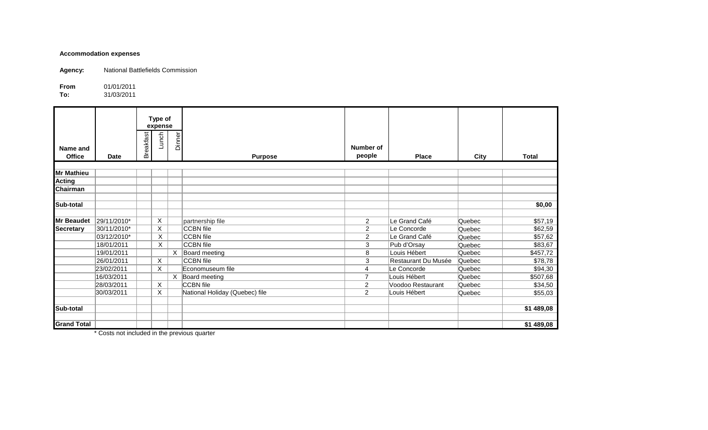## **Accommodation expenses**

**Agency:** National Battlefields Commission

**From** 01/01/2011<br>**To:** 31/03/2011

**To:** 31/03/2011

| Type of<br>expense |             |                  |         |          |                                |                     |                     |        |              |
|--------------------|-------------|------------------|---------|----------|--------------------------------|---------------------|---------------------|--------|--------------|
| Name and<br>Office | Date        | <b>Breakfast</b> | Lunch   | Dinner   | <b>Purpose</b>                 | Number of<br>people | <b>Place</b>        | City   | <b>Total</b> |
| <b>Mr Mathieu</b>  |             |                  |         |          |                                |                     |                     |        |              |
| <b>Acting</b>      |             |                  |         |          |                                |                     |                     |        |              |
| Chairman           |             |                  |         |          |                                |                     |                     |        |              |
| Sub-total          |             |                  |         |          |                                |                     |                     |        | \$0,00       |
| <b>Mr Beaudet</b>  | 29/11/2010* |                  | X       |          | partnership file               | $\overline{2}$      | Le Grand Café       | Quebec | \$57,19      |
| <b>Secretary</b>   | 30/11/2010* |                  | X       |          | CCBN file                      | $\overline{c}$      | Le Concorde         | Quebec | \$62,59      |
|                    | 03/12/2010* |                  | X       |          | <b>CCBN</b> file               | $\overline{c}$      | Le Grand Café       | Quebec | \$57,62      |
|                    | 18/01/2011  |                  | X       |          | CCBN file                      | 3                   | Pub d'Orsay         | Quebec | \$83,67      |
|                    | 19/01/2011  |                  |         | $\times$ | Board meeting                  | 8                   | Louis Hébert        | Quebec | \$457,72     |
|                    | 26/01/2011  |                  | X       |          | CCBN file                      | 3                   | Restaurant Du Musée | Quebec | \$78,78      |
|                    | 23/02/2011  |                  | X       |          | Economuseum file               | 4                   | Le Concorde         | Quebec | \$94,30      |
|                    | 16/03/2011  |                  |         |          | X Board meeting                | 7                   | Louis Hébert        | Quebec | \$507,68     |
|                    | 28/03/2011  |                  | $\sf X$ |          | <b>CCBN</b> file               | $\overline{2}$      | Voodoo Restaurant   | Quebec | \$34,50      |
|                    | 30/03/2011  |                  | X       |          | National Holiday (Quebec) file | $\overline{2}$      | Louis Hébert        | Quebec | \$55,03      |
| Sub-total          |             |                  |         |          |                                |                     |                     |        | \$1 489,08   |
| <b>Grand Total</b> |             |                  |         |          |                                |                     |                     |        | \$1 489,08   |

\* Costs not included in the previous quarter